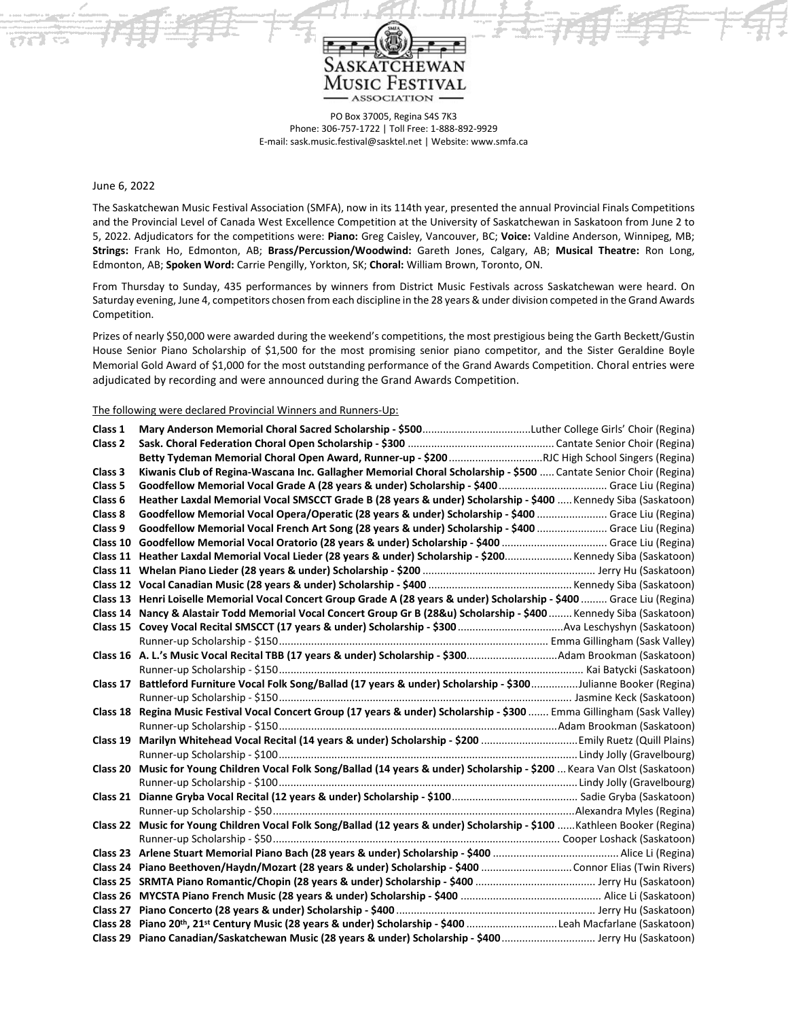

PO Box 37005, Regina S4S 7K3 Phone: 306-757-1722 | Toll Free: 1-888-892-9929 E-mail: sask.music.festival@sasktel.net | Website: www.smfa.ca

June 6, 2022

The Saskatchewan Music Festival Association (SMFA), now in its 114th year, presented the annual Provincial Finals Competitions and the Provincial Level of Canada West Excellence Competition at the University of Saskatchewan in Saskatoon from June 2 to 5, 2022. Adjudicators for the competitions were: **Piano:** Greg Caisley, Vancouver, BC; **Voice:** Valdine Anderson, Winnipeg, MB; **Strings:** Frank Ho, Edmonton, AB; **Brass/Percussion/Woodwind:** Gareth Jones, Calgary, AB; **Musical Theatre:** Ron Long, Edmonton, AB; **Spoken Word:** Carrie Pengilly, Yorkton, SK; **Choral:** William Brown, Toronto, ON.

From Thursday to Sunday, 435 performances by winners from District Music Festivals across Saskatchewan were heard. On Saturday evening, June 4, competitors chosen from each discipline in the 28 years & under division competed in the Grand Awards Competition.

Prizes of nearly \$50,000 were awarded during the weekend's competitions, the most prestigious being the Garth Beckett/Gustin House Senior Piano Scholarship of \$1,500 for the most promising senior piano competitor, and the Sister Geraldine Boyle Memorial Gold Award of \$1,000 for the most outstanding performance of the Grand Awards Competition. Choral entries were adjudicated by recording and were announced during the Grand Awards Competition.

The following were declared Provincial Winners and Runners-Up:

| Class 1            |                                                                                                                           |
|--------------------|---------------------------------------------------------------------------------------------------------------------------|
| Class <sub>2</sub> |                                                                                                                           |
|                    |                                                                                                                           |
| Class 3            | Kiwanis Club of Regina-Wascana Inc. Gallagher Memorial Choral Scholarship - \$500  Cantate Senior Choir (Regina)          |
| Class 5            |                                                                                                                           |
| Class 6            | Heather Laxdal Memorial Vocal SMSCCT Grade B (28 years & under) Scholarship - \$400  Kennedy Siba (Saskatoon)             |
| Class 8            | Goodfellow Memorial Vocal Opera/Operatic (28 years & under) Scholarship - \$400  Grace Liu (Regina)                       |
| Class 9            | Goodfellow Memorial Vocal French Art Song (28 years & under) Scholarship - \$400  Grace Liu (Regina)                      |
| Class 10           |                                                                                                                           |
|                    | Class 11 Heather Laxdal Memorial Vocal Lieder (28 years & under) Scholarship - \$200 Kennedy Siba (Saskatoon)             |
|                    |                                                                                                                           |
|                    |                                                                                                                           |
|                    | Class 13 Henri Loiselle Memorial Vocal Concert Group Grade A (28 years & under) Scholarship - \$400  Grace Liu (Regina)   |
|                    | Class 14 Nancy & Alastair Todd Memorial Vocal Concert Group Gr B (28&u) Scholarship - \$400  Kennedy Siba (Saskatoon)     |
|                    |                                                                                                                           |
|                    |                                                                                                                           |
|                    | Class 16 A. L.'s Music Vocal Recital TBB (17 years & under) Scholarship - \$300Adam Brookman (Saskatoon)                  |
|                    |                                                                                                                           |
| Class 17           | Battleford Furniture Vocal Folk Song/Ballad (17 years & under) Scholarship - \$300Julianne Booker (Regina)                |
|                    |                                                                                                                           |
|                    | Class 18 Regina Music Festival Vocal Concert Group (17 years & under) Scholarship - \$300  Emma Gillingham (Sask Valley)  |
|                    |                                                                                                                           |
| Class 19           |                                                                                                                           |
|                    |                                                                                                                           |
| Class 20           | Music for Young Children Vocal Folk Song/Ballad (14 years & under) Scholarship - \$200  Keara Van Olst (Saskatoon)        |
|                    |                                                                                                                           |
| Class 21           |                                                                                                                           |
|                    |                                                                                                                           |
|                    | Class 22 Music for Young Children Vocal Folk Song/Ballad (12 years & under) Scholarship - \$100  Kathleen Booker (Regina) |
|                    |                                                                                                                           |
|                    |                                                                                                                           |
|                    |                                                                                                                           |
|                    |                                                                                                                           |
|                    |                                                                                                                           |
|                    |                                                                                                                           |
|                    | Class 28 Piano 20th, 21st Century Music (28 years & under) Scholarship - \$400 Leah Macfarlane (Saskatoon)                |
|                    | Class 29 Piano Canadian/Saskatchewan Music (28 years & under) Scholarship - \$400  Jerry Hu (Saskatoon)                   |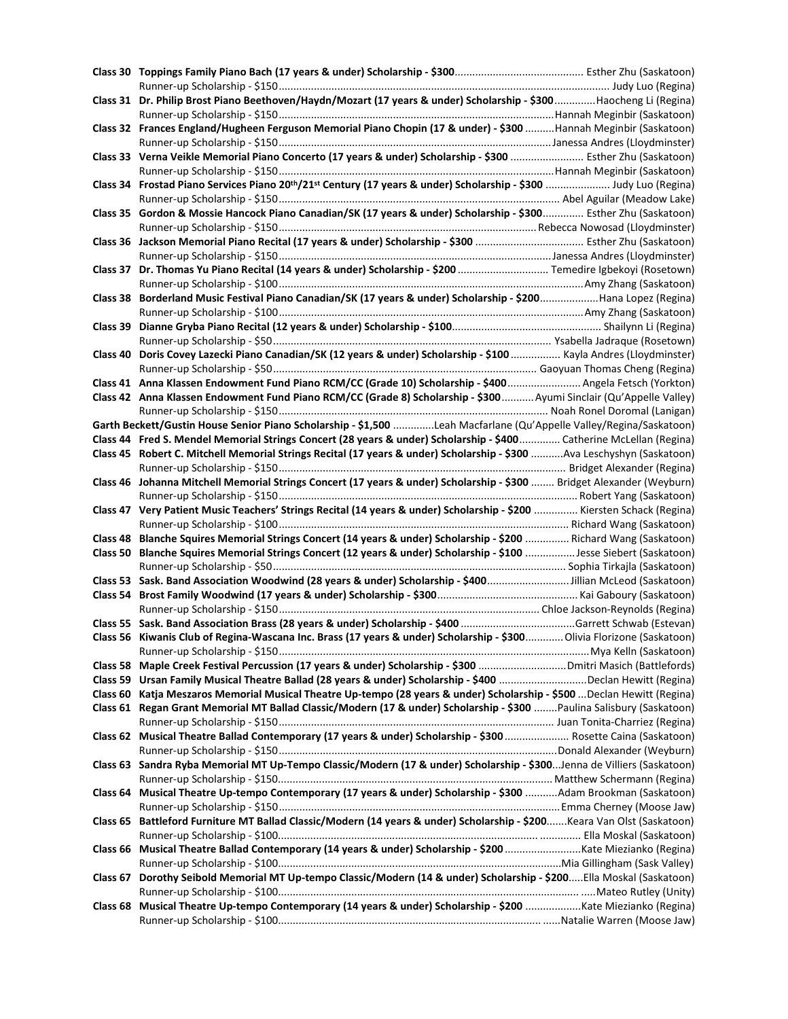| Class 31 Dr. Philip Brost Piano Beethoven/Haydn/Mozart (17 years & under) Scholarship - \$300Haocheng Li (Regina)                          |  |
|--------------------------------------------------------------------------------------------------------------------------------------------|--|
|                                                                                                                                            |  |
| Class 32 Frances England/Hugheen Ferguson Memorial Piano Chopin (17 & under) - \$300 Hannah Meginbir (Saskatoon)                           |  |
|                                                                                                                                            |  |
| Class 33 Verna Veikle Memorial Piano Concerto (17 years & under) Scholarship - \$300  Esther Zhu (Saskatoon)                               |  |
|                                                                                                                                            |  |
| Class 34 Frostad Piano Services Piano 20 <sup>th</sup> /21 <sup>st</sup> Century (17 years & under) Scholarship - \$300  Judy Luo (Regina) |  |
|                                                                                                                                            |  |
| Class 35 Gordon & Mossie Hancock Piano Canadian/SK (17 years & under) Scholarship - \$300 Esther Zhu (Saskatoon)                           |  |
|                                                                                                                                            |  |
|                                                                                                                                            |  |
|                                                                                                                                            |  |
| Class 37 Dr. Thomas Yu Piano Recital (14 years & under) Scholarship - \$200  Temedire Igbekoyi (Rosetown)                                  |  |
|                                                                                                                                            |  |
| Class 38 Borderland Music Festival Piano Canadian/SK (17 years & under) Scholarship - \$200Hana Lopez (Regina)                             |  |
|                                                                                                                                            |  |
|                                                                                                                                            |  |
|                                                                                                                                            |  |
| Class 40 Doris Covey Lazecki Piano Canadian/SK (12 years & under) Scholarship - \$100  Kayla Andres (Lloydminster)                         |  |
|                                                                                                                                            |  |
| Class 41 Anna Klassen Endowment Fund Piano RCM/CC (Grade 10) Scholarship - \$400 Angela Fetsch (Yorkton)                                   |  |
| Class 42 Anna Klassen Endowment Fund Piano RCM/CC (Grade 8) Scholarship - \$300  Ayumi Sinclair (Qu'Appelle Valley)                        |  |
|                                                                                                                                            |  |
| Garth Beckett/Gustin House Senior Piano Scholarship - \$1,500 Leah Macfarlane (Qu'Appelle Valley/Regina/Saskatoon)                         |  |
| Class 44 Fred S. Mendel Memorial Strings Concert (28 years & under) Scholarship - \$400 Catherine McLellan (Regina)                        |  |
| Class 45 Robert C. Mitchell Memorial Strings Recital (17 years & under) Scholarship - \$300 Ava Leschyshyn (Saskatoon)                     |  |
|                                                                                                                                            |  |
| Class 46 Johanna Mitchell Memorial Strings Concert (17 years & under) Scholarship - \$300  Bridget Alexander (Weyburn)                     |  |
|                                                                                                                                            |  |
| Class 47 Very Patient Music Teachers' Strings Recital (14 years & under) Scholarship - \$200  Kiersten Schack (Regina)                     |  |
|                                                                                                                                            |  |
| Class 48 Blanche Squires Memorial Strings Concert (14 years & under) Scholarship - \$200  Richard Wang (Saskatoon)                         |  |
| Class 50 Blanche Squires Memorial Strings Concert (12 years & under) Scholarship - \$100  Jesse Siebert (Saskatoon)                        |  |
|                                                                                                                                            |  |
|                                                                                                                                            |  |
|                                                                                                                                            |  |
|                                                                                                                                            |  |
| Class 56 Kiwanis Club of Regina-Wascana Inc. Brass (17 years & under) Scholarship - \$300 Olivia Florizone (Saskatoon)                     |  |
|                                                                                                                                            |  |
|                                                                                                                                            |  |
| Class 59 Ursan Family Musical Theatre Ballad (28 years & under) Scholarship - \$400 Declan Hewitt (Regina)                                 |  |
| Class 60 Katja Meszaros Memorial Musical Theatre Up-tempo (28 years & under) Scholarship - \$500  Declan Hewitt (Regina)                   |  |
| Class 61 Regan Grant Memorial MT Ballad Classic/Modern (17 & under) Scholarship - \$300 Paulina Salisbury (Saskatoon)                      |  |
|                                                                                                                                            |  |
| Class 62 Musical Theatre Ballad Contemporary (17 years & under) Scholarship - \$300  Rosette Caina (Saskatoon)                             |  |
|                                                                                                                                            |  |
| Class 63 Sandra Ryba Memorial MT Up-Tempo Classic/Modern (17 & under) Scholarship - \$300Jenna de Villiers (Saskatoon)                     |  |
|                                                                                                                                            |  |
| Class 64 Musical Theatre Up-tempo Contemporary (17 years & under) Scholarship - \$300 Adam Brookman (Saskatoon)                            |  |
|                                                                                                                                            |  |
| Class 65 Battleford Furniture MT Ballad Classic/Modern (14 years & under) Scholarship - \$200Keara Van Olst (Saskatoon)                    |  |
|                                                                                                                                            |  |
| Class 66 Musical Theatre Ballad Contemporary (14 years & under) Scholarship - \$200 Kate Miezianko (Regina)                                |  |
|                                                                                                                                            |  |
| Class 67 Dorothy Seibold Memorial MT Up-tempo Classic/Modern (14 & under) Scholarship - \$200Ella Moskal (Saskatoon)                       |  |
|                                                                                                                                            |  |
| Class 68 Musical Theatre Up-tempo Contemporary (14 years & under) Scholarship - \$200 Kate Miezianko (Regina)                              |  |
|                                                                                                                                            |  |